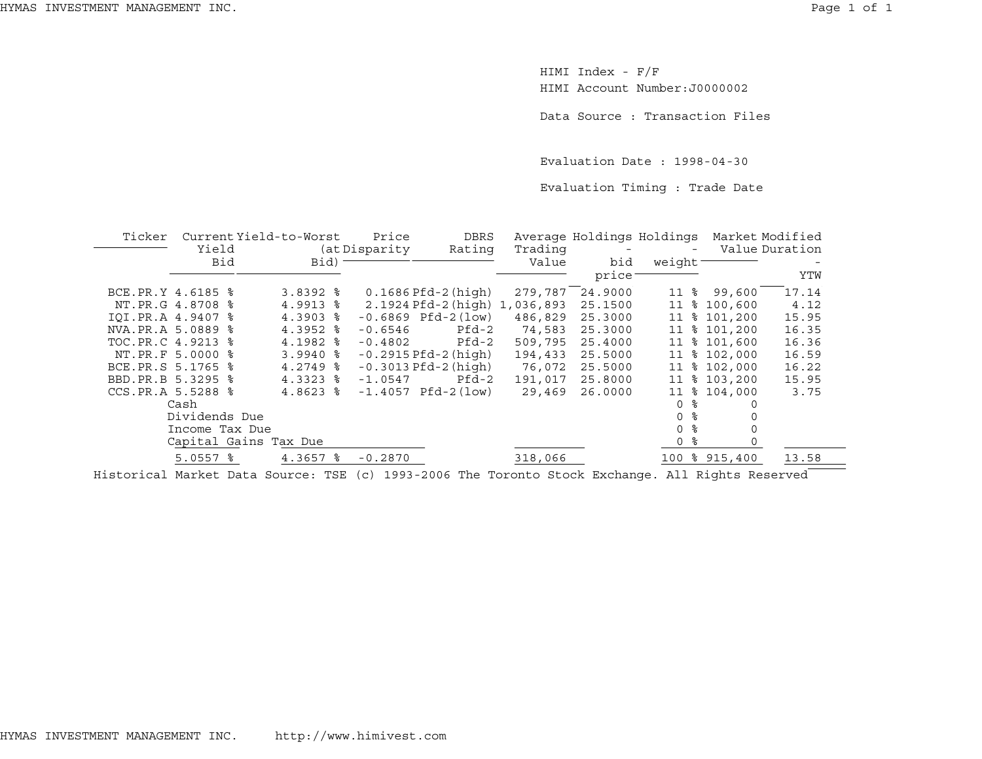HIMI Index - F/F HIMI Account Number:J0000002

Data Source : Transaction Files

Evaluation Date : 1998-04-30

Evaluation Timing : Trade Date

| Ticker            |                       | Current Yield-to-Worst | Price         | <b>DBRS</b>                   |         | Average Holdings Holdings |        | Market Modified |                |
|-------------------|-----------------------|------------------------|---------------|-------------------------------|---------|---------------------------|--------|-----------------|----------------|
|                   | Yield                 |                        | (at Disparity | Rating                        | Trading |                           |        |                 | Value Duration |
|                   | Bid                   | Bid)                   |               |                               | Value   | bid                       | weight |                 |                |
|                   |                       |                        |               |                               |         | price                     |        |                 | YTW            |
| BCE.PR.Y 4.6185 % |                       | $3.8392$ $8$           |               | $0.1686$ Pfd-2 (high)         | 279,787 | 24.9000                   | 11 %   | 99,600          | 17.14          |
|                   | NT.PR.G 4.8708 %      | $4.9913$ $8$           |               | 2.1924 Pfd-2 (high) 1,036,893 |         | 25.1500                   |        | 11 % 100,600    | 4.12           |
| IOI.PR.A 4.9407 % |                       | $4.3903$ $8$           |               | $-0.6869$ Pfd $-2(1$ ow)      | 486,829 | 25.3000                   |        | 11 % 101,200    | 15.95          |
| NVA.PR.A 5.0889 % |                       | $4.3952$ $8$           | $-0.6546$     | Pfd-2                         | 74,583  | 25.3000                   |        | 11 % 101,200    | 16.35          |
| TOC.PR.C 4.9213   | °≈                    | $4.1982$ $%$           | $-0.4802$     | Pfd-2                         | 509,795 | 25.4000                   |        | 11 % 101,600    | 16.36          |
|                   | NT. PR. F 5.0000 %    | $3.9940$ %             |               | $-0.2915$ Pfd $-2$ (high)     | 194,433 | 25.5000                   |        | 11 % 102,000    | 16.59          |
| BCE.PR.S 5.1765 % |                       | $4.2749$ $\approx$     |               | $-0.3013$ Pfd $-2$ (high)     | 76,072  | 25.5000                   | 11     | \$102,000       | 16.22          |
| BBD.PR.B 5.3295 % |                       | $4.3323$ $8$           | $-1.0547$     | $Pfd-2$                       | 191,017 | 25.8000                   | 11     | \$103,200       | 15.95          |
| CCS.PR.A 5.5288 % |                       | $4.8623$ $8$           |               | $-1.4057$ Pfd $-2(1ow)$       | 29,469  | 26.0000                   | 11     | \$104.000       | 3.75           |
|                   | Cash                  |                        |               |                               |         |                           | O      | $\Omega$        |                |
|                   | Dividends Due         |                        |               |                               |         |                           | 0 %    |                 |                |
|                   | Income Tax Due        |                        |               |                               |         |                           | 0 %    |                 |                |
|                   | Capital Gains Tax Due |                        |               |                               |         |                           | 0 %    |                 |                |
|                   | $5.0557$ $%$          | 4.3657 %               | $-0.2870$     |                               | 318,066 |                           |        | 100 % 915,400   | 13.58          |
|                   |                       |                        |               |                               |         |                           |        |                 |                |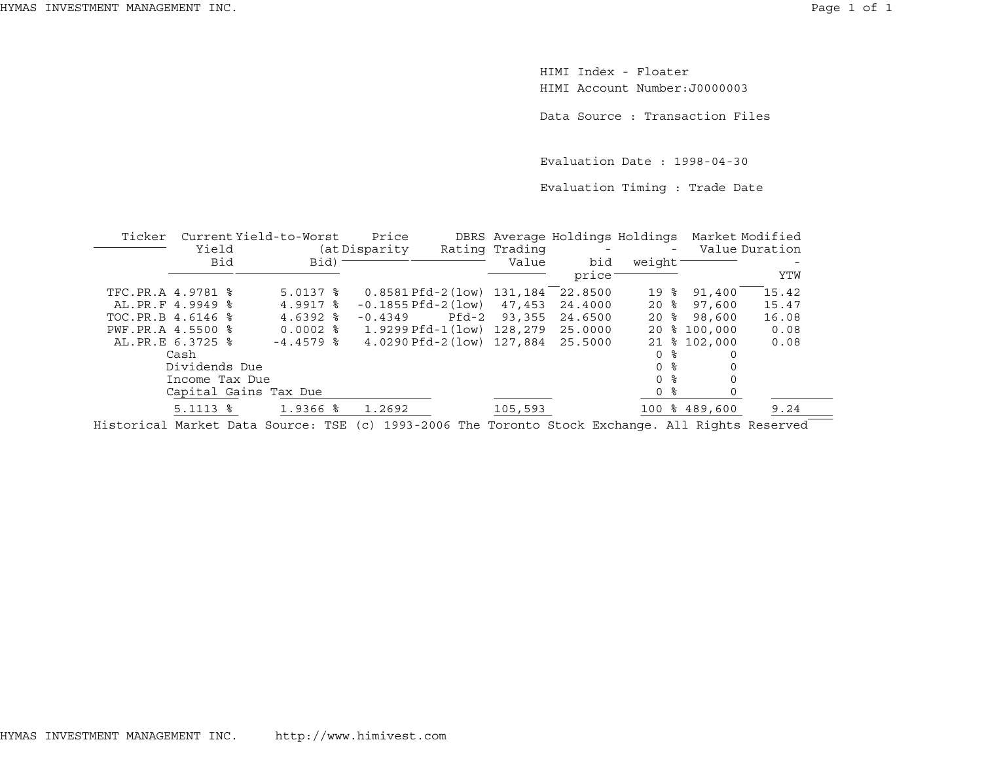HIMI Index - FloaterHIMI Account Number:J0000003

Data Source : Transaction Files

Evaluation Date : 1998-04-30

Evaluation Timing : Trade Date

| Ticker            |                        | Current Yield-to-Worst | Price                             |       |                | DBRS Average Holdings Holdings |                     |   | Market Modified |       |
|-------------------|------------------------|------------------------|-----------------------------------|-------|----------------|--------------------------------|---------------------|---|-----------------|-------|
|                   | Yield                  |                        | (at Disparity                     |       | Rating Trading |                                |                     |   | Value Duration  |       |
|                   | Bid                    | Bid)                   |                                   |       | Value          | bid                            | weight <sup>-</sup> |   |                 |       |
|                   |                        |                        |                                   |       |                | price                          |                     |   |                 | YTW   |
| TFC.PR.A 4.9781 % |                        | $5.0137$ $\frac{6}{5}$ | $0.8581$ Pfd-2 (low) $131,184$    |       |                | 22.8500                        | 19                  | ႜ | 91,400          | 15.42 |
| AL.PR.F 4.9949 %  |                        | 4.9917 %               | $-0.1855$ Pfd $-2$ (low) $47.453$ |       |                | 24.4000                        | 20%                 |   | 97,600          | 15.47 |
| TOC.PR.B 4.6146 % |                        | $4.6392$ $%$           | $-0.4349$                         | Pfd-2 | 93,355         | 24.6500                        | 20%                 |   | 98,600          | 16.08 |
| PWF.PR.A 4.5500 % |                        | $0.0002$ %             | 1.9299 Pfd-1(low) 128,279         |       |                | 25.0000                        |                     |   | 20 % 100,000    | 0.08  |
| AL.PR.E 6.3725 %  |                        | $-4.4579$ &            | 4.0290 Pfd-2(low) 127,884         |       |                | 25.5000                        |                     |   | 21 % 102,000    | 0.08  |
|                   | Cash                   |                        |                                   |       |                |                                | 0 ፦                 |   |                 |       |
|                   | Dividends Due          |                        |                                   |       |                |                                | 0 <sup>8</sup>      |   |                 |       |
|                   | Income Tax Due         |                        |                                   |       |                |                                | 0 %                 |   |                 |       |
|                   | Capital Gains Tax Due  |                        |                                   |       |                |                                | 0 %                 |   |                 |       |
|                   | $5.1113$ $\frac{6}{5}$ | 1.9366 %               | 1.2692                            |       | 105,593        |                                |                     |   | 100 % 489,600   | 9.24  |
|                   |                        |                        |                                   |       |                |                                |                     |   |                 |       |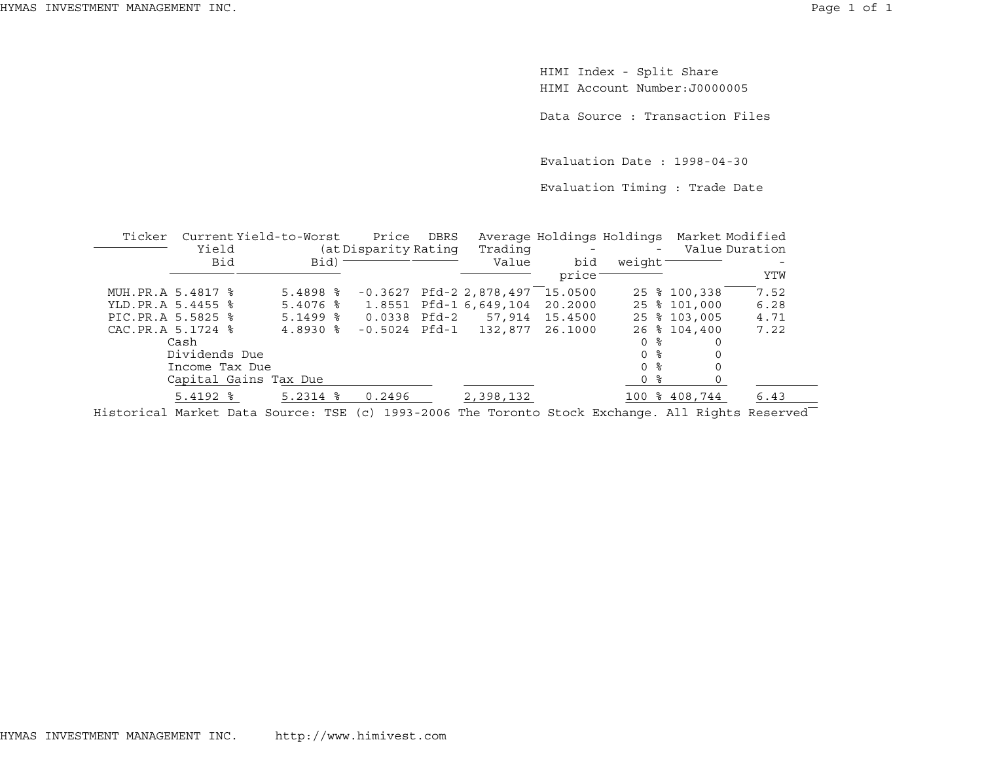HIMI Index - Split Share HIMI Account Number:J0000005

Data Source : Transaction Files

Evaluation Date : 1998-04-30

Evaluation Timing : Trade Date

| Ticker |                   | Current Yield-to-Worst | Price                | DBRS |                           | Average Holdings Holdings |                     | Market Modified |                |
|--------|-------------------|------------------------|----------------------|------|---------------------------|---------------------------|---------------------|-----------------|----------------|
|        | Yield             |                        | (at Disparity Rating |      | Trading                   |                           | $\sim$              |                 | Value Duration |
|        | Bid               | Bid) -                 |                      |      | Value                     | bid                       | weight <sup>-</sup> |                 |                |
|        |                   |                        |                      |      |                           | price:                    |                     |                 | YTW            |
|        | MUH.PR.A 5.4817 % | $5.4898$ $\frac{8}{3}$ |                      |      | $-0.3627$ Pfd-2 2,878,497 | 15.0500                   |                     | 25 % 100,338    | 7.52           |
|        | YLD.PR.A 5.4455 % | $5.4076$ $\frac{6}{5}$ |                      |      | 1.8551 Pfd-1 6,649,104    | 20,2000                   |                     | 25 % 101,000    | 6.28           |
|        | PIC.PR.A 5.5825 % | $5.1499$ $8$           | $0.0338$ Pfd-2       |      | 57,914                    | 15.4500                   |                     | 25 % 103,005    | 4.71           |
|        | CAC.PR.A 5.1724 % | $4.8930$ $\frac{6}{6}$ | $-0.5024$ Pfd $-1$   |      | 132,877                   | 26.1000                   |                     | 26 % 104,400    | 7.22           |
|        | Cash              |                        |                      |      |                           |                           | 0 %                 |                 |                |
|        | Dividends Due     |                        |                      |      |                           |                           | 0 <sup>8</sup>      |                 |                |
|        | Income Tax Due    |                        |                      |      |                           |                           | 0 <sup>8</sup>      |                 |                |
|        |                   | Capital Gains Tax Due  |                      |      |                           |                           | 0 <sup>8</sup>      |                 |                |
|        | $5.4192$ $%$      | $5.2314$ $%$           | 0.2496               |      | 2,398,132                 |                           |                     | 100 % 408,744   | 6.43           |
|        |                   |                        |                      |      |                           |                           |                     |                 |                |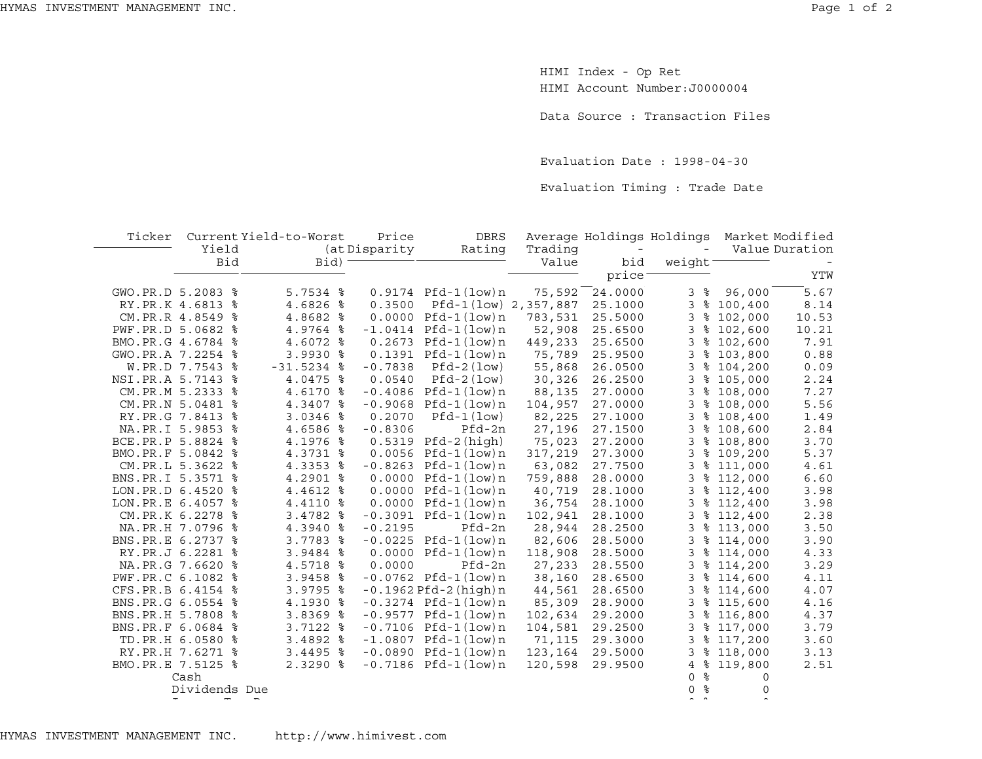HIMI Index - Op Ret HIMI Account Number:J0000004

Data Source : Transaction Files

Evaluation Date : 1998-04-30

Evaluation Timing : Trade Date

| Ticker              | Yield              | Current Yield-to-Worst | Price<br>(at Disparity | <b>DBRS</b><br>Rating       | Trading | Average Holdings Holdings |                |                        | Market Modified<br>Value Duration |
|---------------------|--------------------|------------------------|------------------------|-----------------------------|---------|---------------------------|----------------|------------------------|-----------------------------------|
|                     | Bid                | Bid)                   |                        |                             | Value   | bid                       | weight         |                        |                                   |
|                     |                    |                        |                        |                             |         | price <sup>-</sup>        |                |                        | YTW                               |
| GWO.PR.D 5.2083 %   |                    | $5.7534$ $\frac{8}{5}$ |                        | $0.9174$ Pfd-1(low)n        | 75,592  | 24.0000                   | 3%             | 96,000                 | $\overline{5.67}$                 |
|                     | RY.PR.K 4.6813 %   | 4.6826 %               | 0.3500                 | Pfd-1(low) 2,357,887        |         | 25.1000                   |                | 3 % 100,400            | 8.14                              |
|                     | CM.PR.R 4.8549 %   | 4.8682 %               |                        | $0.0000$ $Pfd-1$ (low) n    | 783,531 | 25.5000                   | 3              | \$102,000              | 10.53                             |
| PWF.PR.D 5.0682 %   |                    | 4.9764 %               |                        | $-1.0414$ Pfd $-1$ (low)n   | 52,908  | 25.6500                   | 3              | \$102,600              | 10.21                             |
| BMO.PR.G 4.6784 %   |                    | 4.6072 %               |                        | $0.2673$ Pfd-1(low)n        | 449,233 | 25.6500                   | 3              | \$102,600              | 7.91                              |
| GWO.PR.A 7.2254 %   |                    | 3.9930 %               |                        | $0.1391$ Pfd-1(low)n        | 75,789  | 25.9500                   | 3              | \$103,800              | 0.88                              |
|                     | W.PR.D 7.7543 %    | $-31.5234$ %           | $-0.7838$              | $Pfd-2 (low)$               | 55,868  | 26.0500                   | 3              | \$104,200              | 0.09                              |
| NSI.PR.A 5.7143 %   |                    | 4.0475 %               | 0.0540                 | $Pfd-2 (low)$               | 30,326  | 26.2500                   | 3              | \$105,000              | 2.24                              |
|                     | CM. PR. M 5.2333 % | 4.6170 %               |                        | $-0.4086$ Pfd-1(low)n       | 88,135  | 27.0000                   | 3              | \$108,000              | 7.27                              |
|                     | CM.PR.N 5.0481 %   | 4.3407 %               |                        | $-0.9068$ Pfd $-1$ (low)n   | 104,957 | 27.0000                   |                | 3 % 108,000            | 5.56                              |
|                     | RY.PR.G 7.8413 %   | $3.0346$ %             | 0.2070                 | $Pfd-1 (low)$               | 82,225  | 27.1000                   |                | $3$ $% 108,400$        | 1.49                              |
|                     | NA.PR.I 5.9853 %   | 4.6586 %               | $-0.8306$              | Pfd-2n                      | 27,196  | 27.1500                   | 3              | \$108,600              | 2.84                              |
| BCE.PR.P 5.8824 %   |                    | 4.1976 %               |                        | $0.5319$ Pfd-2(high)        | 75,023  | 27.2000                   |                | $3$ $% 108,800$        | 3.70                              |
| BMO.PR.F 5.0842 %   |                    | 4.3731 %               |                        | $0.0056$ Pfd-1 $(low)$ n    | 317,219 | 27.3000                   | 3              | \$109,200              | 5.37                              |
|                     | CM.PR.L 5.3622 %   | 4.3353 %               |                        | $-0.8263$ Pfd-1(low)n       | 63,082  | 27.7500                   |                | 3 % 111,000            | 4.61                              |
| BNS.PR.I 5.3571 %   |                    | 4.2901 %               |                        | $0.0000$ Pfd-1 $(low)$ n    | 759,888 | 28.0000                   |                | $3$ $\frac{112}{1000}$ | 6.60                              |
| LON.PR.D 6.4520 %   |                    | 4.4612 %               |                        | $0.0000$ Pfd-1 $(low)$ n    | 40,719  | 28.1000                   |                | $3$ $\frac{112}{100}$  | 3.98                              |
| LON. PR. E 6.4057 % |                    | 4.4110 %               |                        | $0.0000$ Pfd-1 $(low)$ n    | 36,754  | 28.1000                   | 3              | \$112,400              | 3.98                              |
|                     | CM.PR.K 6.2278 %   | 3.4782 %               |                        | $-0.3091$ Pfd $-1$ (low)n   | 102,941 | 28.1000                   | 3              | \$112,400              | 2.38                              |
|                     | NA.PR.H 7.0796 %   | 4.3940 %               | $-0.2195$              | Pfd-2n                      | 28,944  | 28.2500                   | 3              | \$113,000              | 3.50                              |
| BNS.PR.E 6.2737 %   |                    | 3.7783 %               |                        | $-0.0225$ Pfd $-1$ (low)n   | 82,606  | 28.5000                   | 3              | \$114,000              | 3.90                              |
|                     | RY.PR.J 6.2281 %   | 3.9484 %               |                        | $0.0000$ Pfd-1 $(low)$ n    | 118,908 | 28.5000                   | 3              | \$114,000              | 4.33                              |
|                     | NA.PR.G 7.6620 %   | 4.5718 %               | 0.0000                 | Pfd-2n                      | 27,233  | 28.5500                   |                | $3$ $\frac{114}{200}$  | 3.29                              |
| PWF.PR.C 6.1082 %   |                    | 3.9458 %               |                        | $-0.0762$ Pfd $-1$ (low)n   | 38,160  | 28.6500                   |                | 3 % 114,600            | 4.11                              |
| CFS.PR.B 6.4154 %   |                    | 3.9795 %               |                        | $-0.1962$ Pfd $-2$ (high) n | 44,561  | 28.6500                   |                | 3 % 114,600            | 4.07                              |
| BNS.PR.G 6.0554 %   |                    | 4.1930 %               |                        | $-0.3274$ Pfd $-1$ (low)n   | 85,309  | 28.9000                   |                | $3$ $% 115,600$        | 4.16                              |
| BNS. PR. H 5.7808 % |                    | $3.8369$ $%$           |                        | $-0.9577$ Pfd-1(low)n       | 102,634 | 29.2000                   |                | 3 % 116,800            | 4.37                              |
| BNS.PR.F 6.0684 %   |                    | $3.7122$ $8$           |                        | $-0.7106$ Pfd $-1$ (low)n   | 104,581 | 29.2500                   |                | 3 % 117,000            | 3.79                              |
|                     | TD. PR. H 6.0580 % | $3.4892$ $8$           |                        | $-1.0807$ Pfd-1(low)n       | 71,115  | 29.3000                   | 3              | \$117,200              | 3.60                              |
|                     | RY.PR.H 7.6271 %   | $3.4495$ $8$           |                        | $-0.0890$ Pfd $-1$ (low)n   | 123,164 | 29.5000                   | 3              | \$118,000              | 3.13                              |
| BMO.PR.E 7.5125 %   |                    | 2.3290 %               |                        | $-0.7186$ Pfd $-1$ (low)n   | 120,598 | 29.9500                   | 4              | \$119,800              | 2.51                              |
|                     | Cash               |                        |                        |                             |         |                           | ႜ<br>$\Omega$  | 0                      |                                   |
|                     | Dividends Due      |                        |                        |                             |         |                           | 0 <sup>8</sup> | 0                      |                                   |
|                     |                    |                        |                        |                             |         |                           |                |                        |                                   |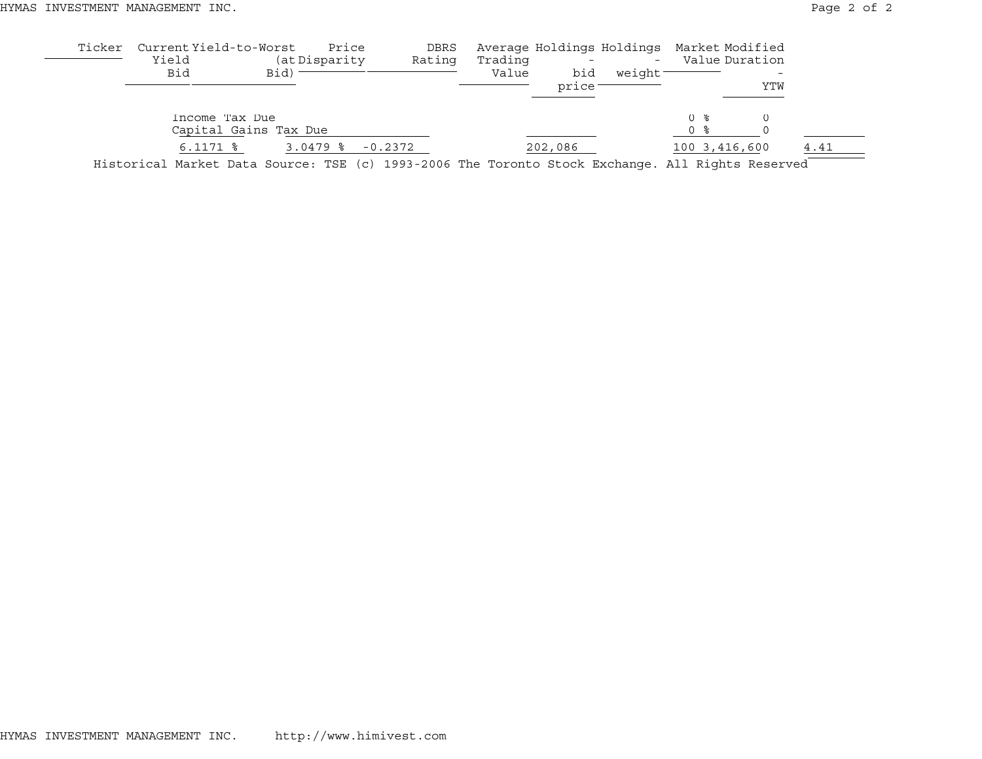| Ticker | Current Yield-to-Worst<br>Yield |                       | Price<br>(at Disparity | DBRS                                                                                                                                                                                                                                    |       |     |                     | Value Duration |     |      |
|--------|---------------------------------|-----------------------|------------------------|-----------------------------------------------------------------------------------------------------------------------------------------------------------------------------------------------------------------------------------------|-------|-----|---------------------|----------------|-----|------|
|        | Bid                             | Bid)                  |                        |                                                                                                                                                                                                                                         | Value | bid | weight <sup>-</sup> |                |     |      |
|        |                                 |                       |                        |                                                                                                                                                                                                                                         |       |     |                     |                | YTW |      |
|        | Income Tax Due                  |                       |                        | Average Holdings Holdings Market Modified<br>Rating<br>Trading<br>$\sim$<br>price:<br>$()$ $\approx$<br>0 %<br>$-0.2372$<br>202,086<br>Historical Market Data Source: TSE (c) 1993-2006 The Toronto Stock Exchange. All Rights Reserved |       |     |                     |                |     |      |
|        |                                 | Capital Gains Tax Due |                        |                                                                                                                                                                                                                                         |       |     |                     |                |     |      |
|        | $6.1171$ $\frac{6}{7}$          |                       | $3.0479$ %             |                                                                                                                                                                                                                                         |       |     |                     | 100 3,416,600  |     | 4.41 |
|        |                                 |                       |                        |                                                                                                                                                                                                                                         |       |     |                     |                |     |      |